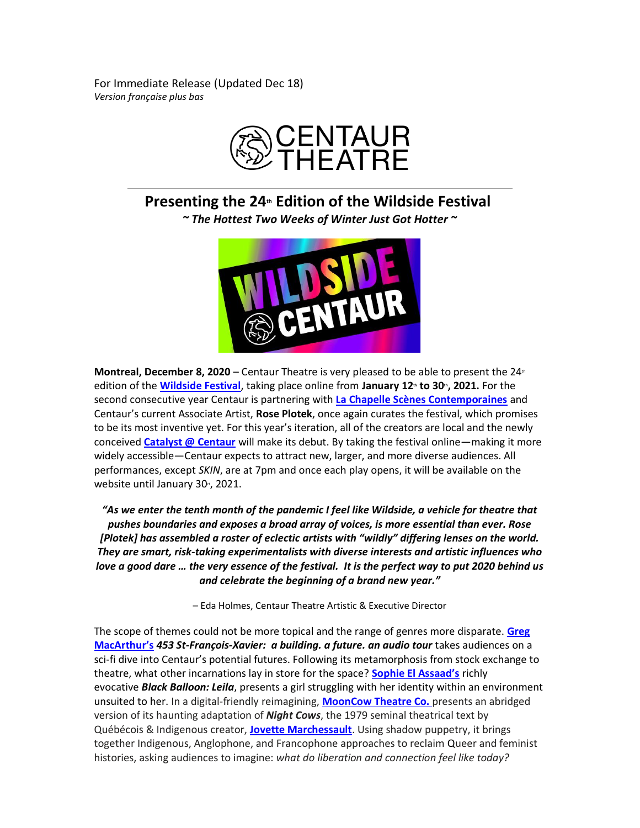For Immediate Release (Updated Dec 18) *Version française plus bas*



**Presenting the 24th Edition of the Wildside Festival**

*~ The Hottest Two Weeks of Winter Just Got Hotter ~*



**Montreal, December 8, 2020** – Centaur Theatre is very pleased to be able to present the 24<sup>th</sup> edition of the **[Wildside Festival](https://centaurtheatre.com/whats-on/wildside-festival/)**, taking place online from **January 12th to 30th, 2021.** For the second consecutive year Centaur is partnering with **[La Chapelle Scènes Contemporaines](https://lachapelle.org/en)** and Centaur's current Associate Artist, **Rose Plotek**, once again curates the festival, which promises to be its most inventive yet. For this year's iteration, all of the creators are local and the newly conceived **[Catalyst @ Centaur](https://centaurtheatre.com/shows/catalyst-centaur/)** will make its debut. By taking the festival online—making it more widely accessible—Centaur expects to attract new, larger, and more diverse audiences. All performances, except *SKIN*, are at 7pm and once each play opens, it will be available on the website until January 30<sup>t</sup>, 2021.

*"As we enter the tenth month of the pandemic I feel like Wildside, a vehicle for theatre that pushes boundaries and exposes a broad array of voices, is more essential than ever. Rose [Plotek] has assembled a roster of eclectic artists with "wildly" differing lenses on the world. They are smart, risk-taking experimentalists with diverse interests and artistic influences who love a good dare … the very essence of the festival. It is the perfect way to put 2020 behind us and celebrate the beginning of a brand new year."*

– Eda Holmes, Centaur Theatre Artistic & Executive Director

The scope of themes could not be more topical and the range of genres more disparate. **[Greg](https://en.wikipedia.org/wiki/Greg_MacArthur)  M[acArthur's](https://en.wikipedia.org/wiki/Greg_MacArthur)** *453 St-François-Xavier: a building. a future. an audio tour* takes audiences on a sci-fi dive into Centaur's potential futures. Following its metamorphosis from stock exchange to theatre, what other incarnations lay in store for the space? **[Sophie El Assaad's](https://sophieelassaad.com/)** richly evocative *Black Balloon: Leila*, presents a girl struggling with her identity within an environment unsuited to her. In a digital-friendly reimagining, **[MoonCow Theatre Co.](https://www.facebook.com/mooncowtheatreco/)** presents an abridged version of its haunting adaptation of *Night Cows*, the 1979 seminal theatrical text by Québécois & Indigenous creator, **[Jovette Marchessault](http://www.canadiantheatre.com/dict.pl?term=Marchessault%2C%20Jovette)**. Using shadow puppetry, it brings together Indigenous, Anglophone, and Francophone approaches to reclaim Queer and feminist histories, asking audiences to imagine: *what do liberation and connection feel like today?*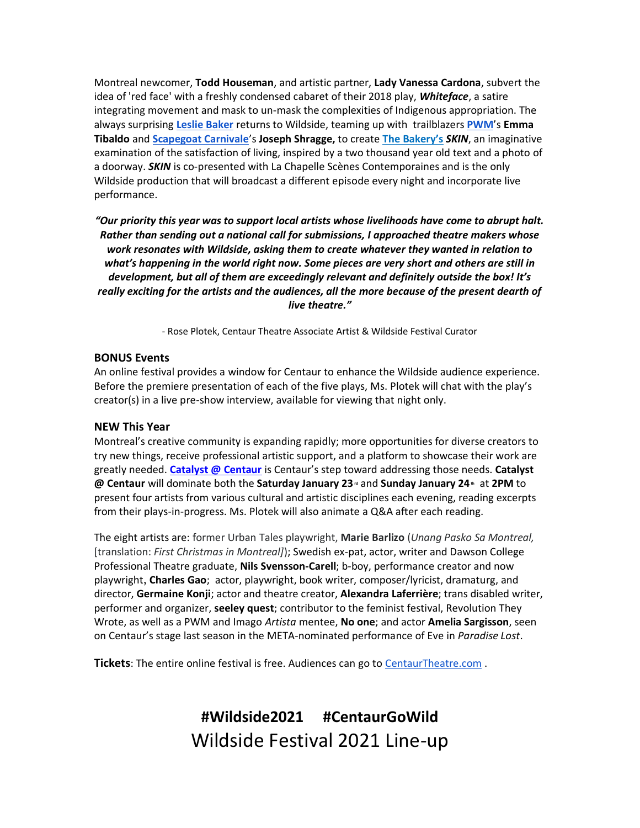Montreal newcomer, **Todd Houseman**, and artistic partner, **Lady Vanessa Cardona**, subvert the idea of 'red face' with a freshly condensed cabaret of their 2018 play, *Whiteface*, a satire integrating movement and mask to un-mask the complexities of Indigenous appropriation. The always surprising **[Leslie Baker](http://www.thebakerylaboulangerie.com/who-1)** returns to Wildside, teaming up with trailblazers **[PWM](https://www.playwrights.ca/)**'s **Emma Tibaldo** and **[Scapegoat Carnivale](https://www.scapegoatcarnivale.com/scapegoatcarnivaleabout)**'s **Joseph Shragge,** to create **[The Bakery's](http://www.thebakerylaboulangerie.com/)** *SKIN*, an imaginative examination of the satisfaction of living, inspired by a two thousand year old text and a photo of a doorway. *SKIN* is co-presented with La Chapelle Scènes Contemporaines and is the only Wildside production that will broadcast a different episode every night and incorporate live performance.

*"Our priority this year was to support local artists whose livelihoods have come to abrupt halt. Rather than sending out a national call for submissions, I approached theatre makers whose work resonates with Wildside, asking them to create whatever they wanted in relation to what's happening in the world right now. Some pieces are very short and others are still in development, but all of them are exceedingly relevant and definitely outside the box! It's really exciting for the artists and the audiences, all the more because of the present dearth of live theatre."*

- Rose Plotek, Centaur Theatre Associate Artist & Wildside Festival Curator

#### **BONUS Events**

An online festival provides a window for Centaur to enhance the Wildside audience experience. Before the premiere presentation of each of the five plays, Ms. Plotek will chat with the play's creator(s) in a live pre-show interview, available for viewing that night only.

#### **NEW This Year**

Montreal's creative community is expanding rapidly; more opportunities for diverse creators to try new things, receive professional artistic support, and a platform to showcase their work are greatly needed. **[Catalyst @ Centaur](https://centaurtheatre.com/shows/catalyst-centaur/)** is Centaur's step toward addressing those needs. **Catalyst @ Centaur** will dominate both the **Saturday January 23rd** and **Sunday January 24th** at **2PM** to present four artists from various cultural and artistic disciplines each evening, reading excerpts from their plays-in-progress. Ms. Plotek will also animate a Q&A after each reading.

The eight artists are: former Urban Tales playwright, **Marie Barlizo** (*Unang Pasko Sa Montreal,*  [translation: *First Christmas in Montreal]*); Swedish ex-pat, actor, writer and Dawson College Professional Theatre graduate, **Nils Svensson-Carell**; b-boy, performance creator and now playwright, **Charles Gao**; actor, playwright, book writer, composer/lyricist, dramaturg, and director, **Germaine Konji**; actor and theatre creator, **Alexandra Laferrière**; trans disabled writer, performer and organizer, **seeley quest**; contributor to the feminist festival, Revolution They Wrote, as well as a PWM and Imago *Artista* mentee, **No one**; and actor **Amelia Sargisson**, seen on Centaur's stage last season in the META-nominated performance of Eve in *Paradise Lost*.

Tickets: The entire online festival is free. Audiences can go to [CentaurTheatre.com](https://centaurtheatre.com/).

# **#Wildside2021 #CentaurGoWild** Wildside Festival 2021 Line-up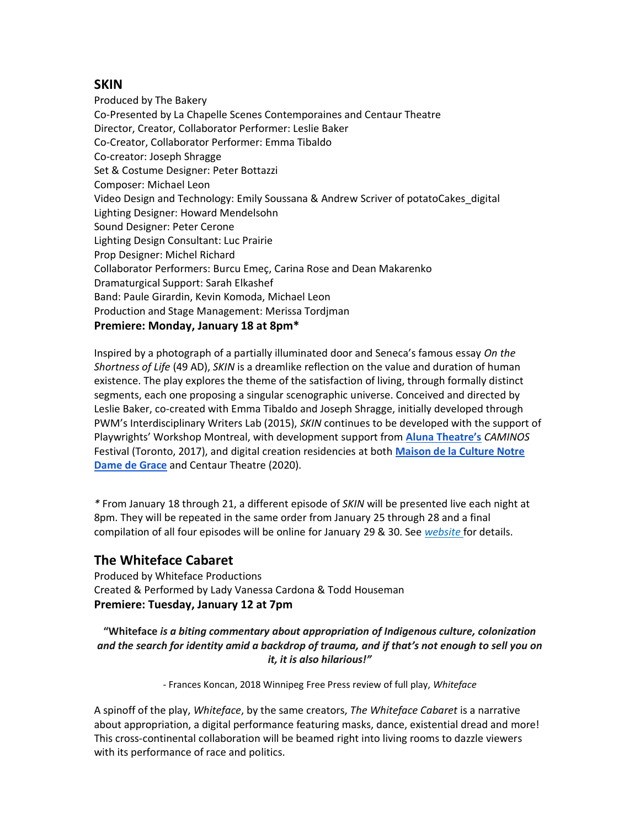### **SKIN**

Produced by The Bakery Co-Presented by La Chapelle Scenes Contemporaines and Centaur Theatre Director, Creator, Collaborator Performer: Leslie Baker Co-Creator, Collaborator Performer: Emma Tibaldo Co-creator: Joseph Shragge Set & Costume Designer: Peter Bottazzi Composer: Michael Leon Video Design and Technology: Emily Soussana & Andrew Scriver of potatoCakes\_digital Lighting Designer: Howard Mendelsohn Sound Designer: Peter Cerone Lighting Design Consultant: Luc Prairie Prop Designer: Michel Richard Collaborator Performers: Burcu Emeç, Carina Rose and Dean Makarenko Dramaturgical Support: Sarah Elkashef Band: Paule Girardin, Kevin Komoda, Michael Leon Production and Stage Management: Merissa Tordjman **Premiere: Monday, January 18 at 8pm\***

Inspired by a photograph of a partially illuminated door and Seneca's famous essay *On the Shortness of Life* (49 AD), *SKIN* is a dreamlike reflection on the value and duration of human existence. The play explores the theme of the satisfaction of living, through formally distinct segments, each one proposing a singular scenographic universe. Conceived and directed by Leslie Baker, co-created with Emma Tibaldo and Joseph Shragge, initially developed through PWM's Interdisciplinary Writers Lab (2015), *SKIN* continues to be developed with the support of Playwrights' Workshop Montreal, with development support from **[Aluna Theatre's](https://www.alunatheatre.ca/)** *CAMINOS* Festival (Toronto, 2017), and digital creation residencies at both **[Maison de la Culture Notre](https://montreal.ca/en/places/maison-de-la-culture-notre-dame-de-grace-botrel)  [Dame de Grace](https://montreal.ca/en/places/maison-de-la-culture-notre-dame-de-grace-botrel)** and Centaur Theatre (2020).

*\** From January 18 through 21, a different episode of *SKIN* will be presented live each night at 8pm. They will be repeated in the same order from January 25 through 28 and a final compilation of all four episodes will be online for January 29 & 30. See *[website](https://centaurtheatre.com/whats-on/wildside-festival/?utm_source=pressrelease&utm_medium=web&utm_campaign=wildside&utm_term=&utm_content=)* for details.

# **The Whiteface Cabaret**

Produced by Whiteface Productions Created & Performed by Lady Vanessa Cardona & Todd Houseman **Premiere: Tuesday, January 12 at 7pm**

**"Whiteface** *is a biting commentary about appropriation of Indigenous culture, colonization and the search for identity amid a backdrop of trauma, and if that's not enough to sell you on it, it is also hilarious!"*

- Frances Koncan, 2018 Winnipeg Free Press review of full play, *Whiteface*

A spinoff of the play, *Whiteface*, by the same creators, *The Whiteface Cabaret* is a narrative about appropriation, a digital performance featuring masks, dance, existential dread and more! This cross-continental collaboration will be beamed right into living rooms to dazzle viewers with its performance of race and politics.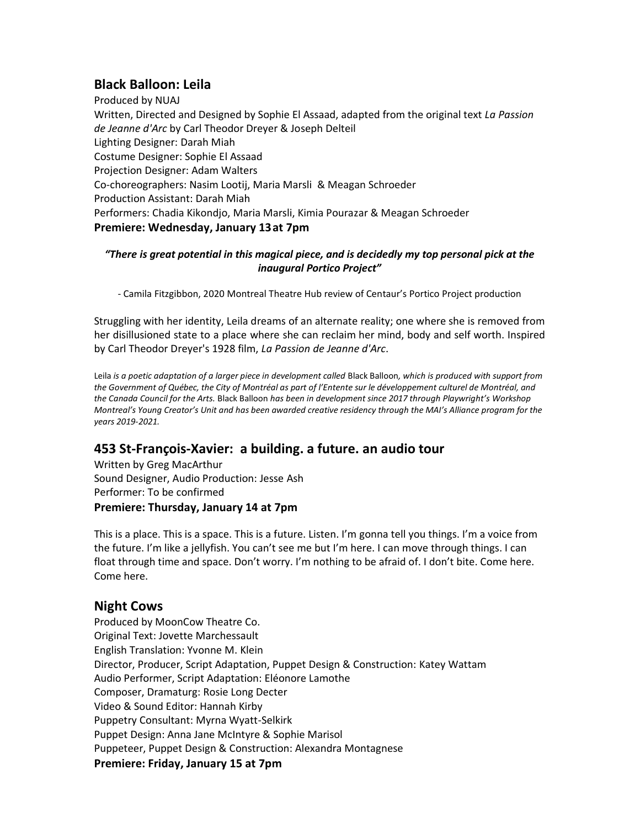# **Black Balloon: Leila**

Produced by NUAJ Written, Directed and Designed by Sophie El Assaad, adapted from the original text *La Passion de Jeanne d'Arc* by Carl Theodor Dreyer & Joseph Delteil Lighting Designer: Darah Miah Costume Designer: Sophie El Assaad Projection Designer: Adam Walters Co-choreographers: Nasim Lootij, Maria Marsli & Meagan Schroeder Production Assistant: Darah Miah Performers: Chadia Kikondjo, Maria Marsli, Kimia Pourazar & Meagan Schroeder **Premiere: Wednesday, January 13at 7pm**

### *"There is great potential in this magical piece, and is decidedly my top personal pick at the inaugural Portico Project"*

- Camila Fitzgibbon, 2020 Montreal Theatre Hub review of Centaur's Portico Project production

Struggling with her identity, Leila dreams of an alternate reality; one where she is removed from her disillusioned state to a place where she can reclaim her mind, body and self worth. Inspired by Carl Theodor Dreyer's 1928 film, *La Passion de Jeanne d'Arc*.

Leila *is a poetic adaptation of a larger piece in development called* Black Balloon*, which is produced with support from*  the Government of Québec, the City of Montréal as part of l'Entente sur le développement culturel de Montréal, and *the Canada Council for the Arts.* Black Balloon *has been in development since 2017 through Playwright's Workshop Montreal's Young Creator's Unit and has been awarded creative residency through the MAI's Alliance program for the years 2019-2021.*

# **453 St-François-Xavier: a building. a future. an audio tour**

Written by Greg MacArthur Sound Designer, Audio Production: Jesse Ash Performer: To be confirmed **Premiere: Thursday, January 14 at 7pm**

This is a place. This is a space. This is a future. Listen. I'm gonna tell you things. I'm a voice from the future. I'm like a jellyfish. You can't see me but I'm here. I can move through things. I can float through time and space. Don't worry. I'm nothing to be afraid of. I don't bite. Come here. Come here.

# **Night Cows**

Produced by MoonCow Theatre Co. Original Text: Jovette Marchessault English Translation: Yvonne M. Klein Director, Producer, Script Adaptation, Puppet Design & Construction: Katey Wattam Audio Performer, Script Adaptation: Eléonore Lamothe Composer, Dramaturg: Rosie Long Decter Video & Sound Editor: Hannah Kirby Puppetry Consultant: Myrna Wyatt-Selkirk Puppet Design: Anna Jane McIntyre & Sophie Marisol Puppeteer, Puppet Design & Construction: Alexandra Montagnese **Premiere: Friday, January 15 at 7pm**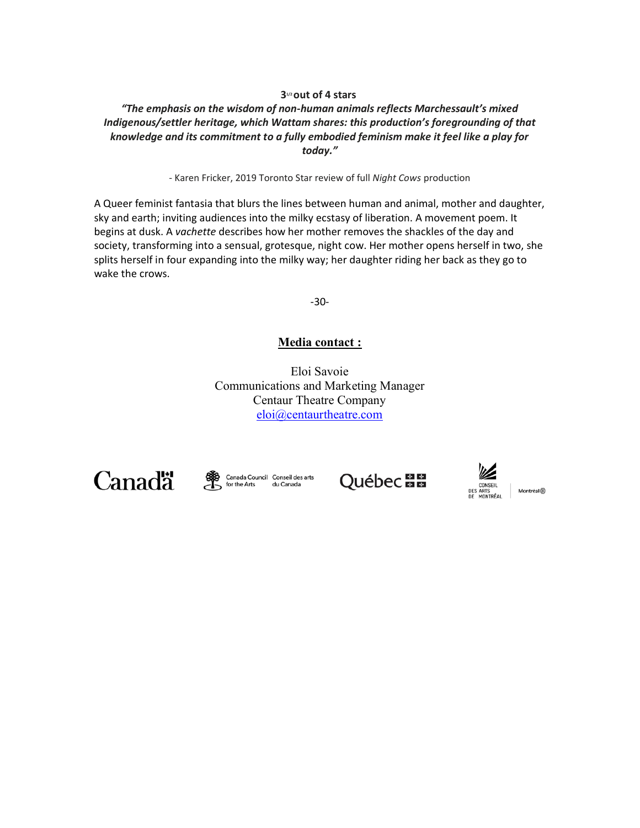### **31/2 out of 4 stars**

### *"The emphasis on the wisdom of non-human animals reflects Marchessault's mixed Indigenous/settler heritage, which Wattam shares: this production's foregrounding of that knowledge and its commitment to a fully embodied feminism make it feel like a play for today."*

- Karen Fricker, 2019 Toronto Star review of full *Night Cows* production

A Queer feminist fantasia that blurs the lines between human and animal, mother and daughter, sky and earth; inviting audiences into the milky ecstasy of liberation. A movement poem. It begins at dusk. A *vachette* describes how her mother removes the shackles of the day and society, transforming into a sensual, grotesque, night cow. Her mother opens herself in two, she splits herself in four expanding into the milky way; her daughter riding her back as they go to wake the crows.

-30-

### **Media contact :**

Eloi Savoie Communications and Marketing Manager Centaur Theatre Company [eloi@centaurtheatre.com](mailto:eloi@centaurtheatre.com)

Canada S for the Arts du Canada Council Conseil des arts





Montréal器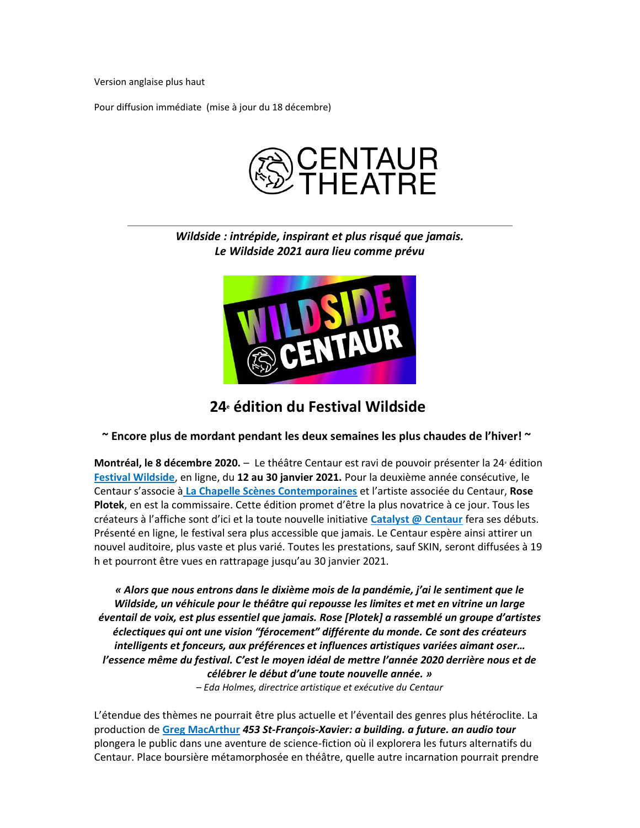Version anglaise plus haut

Pour diffusion immédiate (mise à jour du 18 décembre)



### *Wildside : intrépide, inspirant et plus risqué que jamais. Le Wildside 2021 aura lieu comme prévu*



# **24<sup>e</sup> édition du Festival Wildside**

### **~ Encore plus de mordant pendant les deux semaines les plus chaudes de l'hiver! ~**

**Mo[n](https://centaurtheatre.com/fr/programmation/wildside-festival/)tréal, le 8 décembre 2020.** – Le théâtre Centaur est ravi de pouvoir présenter la 24 édition **[Festival Wildside](https://centaurtheatre.com/fr/programmation/wildside-festival/)**, en ligne, du **12 au 30 janvier 2021.** Pour la deuxième année consécutive, le Centaur s'associe à **[La Chapelle Scènes Contemporaines](https://lachapelle.org/fr)** et l'artiste associée du Centaur, **Rose Plotek**, en est la commissaire. Cette édition promet d'être la plus novatrice à ce jour. Tous les créateurs à l'affiche sont d'ici et la toute nouvelle initiative **[Catalyst @ Centaur](https://centaurtheatre.com/fr/shows/catalyst-centaur/)** fera ses débuts. Présenté en ligne, le festival sera plus accessible que jamais. Le Centaur espère ainsi attirer un nouvel auditoire, plus vaste et plus varié. Toutes les prestations, sauf SKIN, seront diffusées à 19 h et pourront être vues en rattrapage jusqu'au 30 janvier 2021.

*« Alors que nous entrons dans le dixième mois de la pandémie, j'ai le sentiment que le Wildside, un véhicule pour le théâtre qui repousse les limites et met en vitrine un large éventail de voix, est plus essentiel que jamais. Rose [Plotek] a rassemblé un groupe d'artistes éclectiques qui ont une vision "férocement" différente du monde. Ce sont des créateurs intelligents et fonceurs, aux préférences et influences artistiques variées aimant oser… l'essence même du festival. C'est le moyen idéal de mettre l'année 2020 derrière nous et de célébrer le début d'une toute nouvelle année. »*

*– Eda Holmes, directrice artistique et exécutive du Centaur*

L'étendue des thèmes ne pourrait être plus actuelle et l'éventail des genres plus hétéroclite. La production de **[Greg MacArthur](https://en.wikipedia.org/wiki/Greg_MacArthur)** *453 St-François-Xavier: a building. a future. an audio tour* plongera le public dans une aventure de science-fiction où il explorera les futurs alternatifs du Centaur. Place boursière métamorphosée en théâtre, quelle autre incarnation pourrait prendre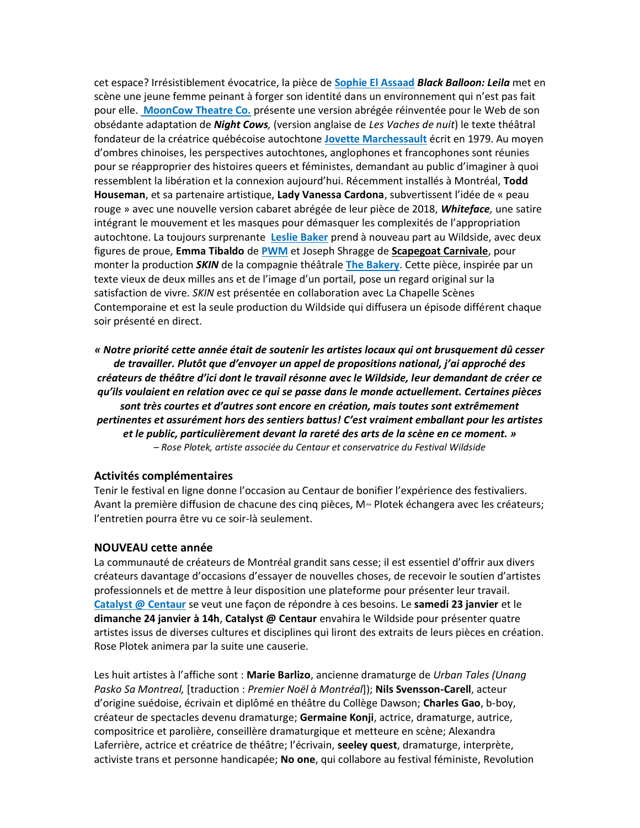cet espace? Irrésistiblement évocatrice, la pièce de **[Sophie El Assaad](https://sophieelassaad.com/)** *Black Balloon: Leila* met en scène une jeune femme peinant à forger son identité dans un environnement qui n'est pas fait pour elle. **[MoonCow Theatre Co.](https://www.facebook.com/mooncowtheatreco/)** présente une version abrégée réinventée pour le Web de son obsédante adaptation de *Night Cows,* (version anglaise de *Les Vaches de nuit*) le texte théâtral fondateur de la créatrice québécoise autochtone **[Jovette Marchessault](https://www.thecanadianencyclopedia.ca/fr/article/marchessault-jovette)** écrit en 1979. Au moyen d'ombres chinoises, les perspectives autochtones, anglophones et francophones sont réunies pour se réapproprier des histoires queers et féministes, demandant au public d'imaginer à quoi ressemblent la libération et la connexion aujourd'hui. Récemment installés à Montréal, **Todd Houseman**, et sa partenaire artistique, **Lady Vanessa Cardona**, subvertissent l'idée de « peau rouge » avec une nouvelle version cabaret abrégée de leur pièce de 2018, *Whiteface,* une satire intégrant le mouvement et les masques pour démasquer les complexités de l'appropriation autochtone. La toujours surprenante **[Leslie Baker](http://www.thebakerylaboulangerie.com/who-1)** prend à nouveau part au Wildside, avec deux figures de proue, **Emma Tibaldo** de **[PWM](https://www.playwrights.ca/)** et Joseph Shragge de **[Scapegoat Carnivale](https://www.scapegoatcarnivale.com/scapegoatcarnivaleabout)**, pour monter la production *SKIN* de la compagnie théâtrale **[The Bakery](http://www.thebakerylaboulangerie.com/)**. Cette pièce, inspirée par un texte vieux de deux milles ans et de l'image d'un portail, pose un regard original sur la satisfaction de vivre. *SKIN* est présentée en collaboration avec La Chapelle Scènes Contemporaine et est la seule production du Wildside qui diffusera un épisode différent chaque soir présenté en direct.

*« Notre priorité cette année était de soutenir les artistes locaux qui ont brusquement dû cesser de travailler. Plutôt que d'envoyer un appel de propositions national, j'ai approché des créateurs de théâtre d'ici dont le travail résonne avec le Wildside, leur demandant de créer ce qu'ils voulaient en relation avec ce qui se passe dans le monde actuellement. Certaines pièces sont très courtes et d'autres sont encore en création, mais toutes sont extrêmement pertinentes et assurément hors des sentiers battus! C'est vraiment emballant pour les artistes et le public, particulièrement devant la rareté des arts de la scène en ce moment. » – Rose Plotek, artiste associée du Centaur et conservatrice du Festival Wildside*

#### **Activités complémentaires**

Tenir le festival en ligne donne l'occasion au Centaur de bonifier l'expérience des festivaliers. Avant la première diffusion de chacune des cinq pièces, Mme Plotek échangera avec les créateurs; l'entretien pourra être vu ce soir-là seulement.

#### **NOUVEAU cette année**

La communauté de créateurs de Montréal grandit sans cesse; il est essentiel d'offrir aux divers créateurs davantage d'occasions d'essayer de nouvelles choses, de recevoir le soutien d'artistes professionnels et de mettre à leur disposition une plateforme pour présenter leur travail[.](https://centaurtheatre.com/fr/shows/catalyst-centaur/) **[Catalyst @ Centaur](https://centaurtheatre.com/fr/shows/catalyst-centaur/)** se veut une façon de répondre à ces besoins. Le **samedi 23 janvier** et le **dimanche 24 janvier à 14h**, **Catalyst @ Centaur** envahira le Wildside pour présenter quatre artistes issus de diverses cultures et disciplines qui liront des extraits de leurs pièces en création. Rose Plotek animera par la suite une causerie.

Les huit artistes à l'affiche sont : **Marie Barlizo**, ancienne dramaturge de *Urban Tales (Unang Pasko Sa Montreal,* [traduction : *Premier Noël à Montréal*]); **Nils Svensson-Carell**, acteur d'origine suédoise, écrivain et diplômé en théâtre du Collège Dawson; **Charles Gao**, b-boy, créateur de spectacles devenu dramaturge; **Germaine Konji**, actrice, dramaturge, autrice, compositrice et parolière, conseillère dramaturgique et metteure en scène; Alexandra Laferrière, actrice et créatrice de théâtre; l'écrivain, **seeley quest**, dramaturge, interprète, activiste trans et personne handicapée; **No one**, qui collabore au festival féministe, Revolution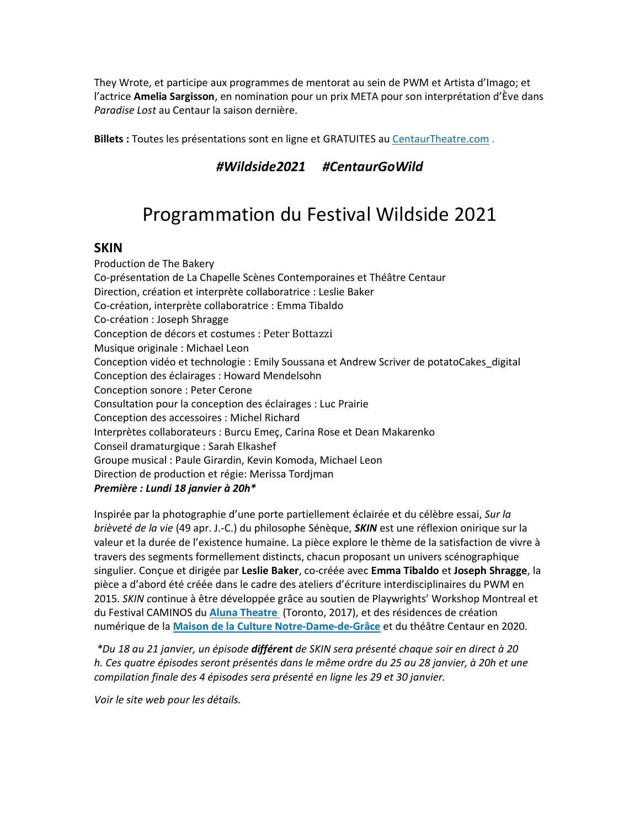They Wrote, et participe aux programmes de mentorat au sein de PWM et Artista d'Imago; et l'actrice **Amelia Sargisson**, en nomination pour un prix META pour son interprétation d'Ève dans *Paradise Lost* au Centaur la saison dernière.

**Billets :** Toutes les présentations sont en ligne et GRATUITES au [CentaurTheatre.com](https://centaurtheatre.com/fr/) .

# *#Wildside2021 #CentaurGoWild*

# Programmation du Festival Wildside 2021

### **SKIN**

Production de The Bakery Co-présentation de La Chapelle Scènes Contemporaines et Théâtre Centaur Direction, création et interprète collaboratrice : Leslie Baker Co-création, interprète collaboratrice : Emma Tibaldo Co-création : Joseph Shragge Conception de décors et costumes : Peter Bottazzi Musique originale : Michael Leon Conception vidéo et technologie : Emily Soussana et Andrew Scriver de potatoCakes\_digital Conception des éclairages : Howard Mendelsohn Conception sonore : Peter Cerone Consultation pour la conception des éclairages : Luc Prairie Conception des accessoires : Michel Richard Interprètes collaborateurs : Burcu Emeç, Carina Rose et Dean Makarenko Conseil dramaturgique : Sarah Elkashef Groupe musical : Paule Girardin, Kevin Komoda, Michael Leon Direction de production et régie: Merissa Tordjman *Première : Lundi 18 janvier à 20h\**

Inspirée par la photographie d'une porte partiellement éclairée et du célèbre essai, *Sur la brièveté de la vie* (49 apr. J.-C.) du philosophe Sénèque, *SKIN* est une réflexion onirique sur la valeur et la durée de l'existence humaine. La pièce explore le thème de la satisfaction de vivre à travers des segments formellement distincts, chacun proposant un univers scénographique singulier. Conçue et dirigée par **Leslie Baker**, co-créée avec **Emma Tibaldo** et **Joseph Shragge**, la pièce a d'abord été créée dans le cadre des ateliers d'écriture interdisciplinaires du PWM en 2015. *SKIN c*ontinue à être développée grâce au soutien de Playwrights' Workshop Montreal et du Festival CAMINOS du **[Aluna Theatre](https://www.alunatheatre.ca/)** (Toronto, 2017), et des résidences de création numérique de la **[Maison de la Culture Notre-Dame-de-Grâce](https://montreal.ca/en/places/maison-de-la-culture-notre-dame-de-grace-botrel)** et du théâtre Centaur en 2020.

*\*Du 18 au 21 janvier, un épisode différent de SKIN sera présenté chaque soir en direct à 20 h. Ces quatre épisodes seront présentés dans le même ordre du 25 au 28 janvier, à 20h et une compilation finale des 4 épisodes sera présenté en ligne les 29 et 30 janvier.* 

*Voir le site web pour les détails.*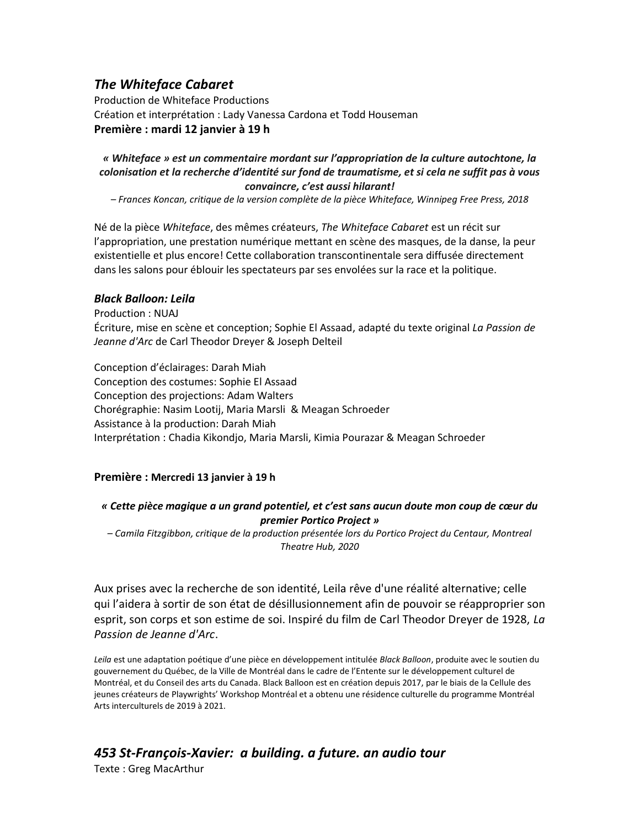## *The Whiteface Cabaret*

Production de Whiteface Productions Création et interprétation : Lady Vanessa Cardona et Todd Houseman **Première : mardi 12 janvier à 19 h**

### *« Whiteface » est un commentaire mordant sur l'appropriation de la culture autochtone, la colonisation et la recherche d'identité sur fond de traumatisme, et si cela ne suffit pas à vous convaincre, c'est aussi hilarant!*

*– Frances Koncan, critique de la version complète de la pièce Whiteface, Winnipeg Free Press, 2018*

Né de la pièce *Whiteface*, des mêmes créateurs, *The Whiteface Cabaret* est un récit sur l'appropriation, une prestation numérique mettant en scène des masques, de la danse, la peur existentielle et plus encore! Cette collaboration transcontinentale sera diffusée directement dans les salons pour éblouir les spectateurs par ses envolées sur la race et la politique.

### *Black Balloon: Leila*

Production : NUAJ Écriture, mise en scène et conception; Sophie El Assaad, adapté du texte original *La Passion de Jeanne d'Arc* de Carl Theodor Dreyer & Joseph Delteil

Conception d'éclairages: Darah Miah Conception des costumes: Sophie El Assaad Conception des projections: Adam Walters Chorégraphie: Nasim Lootij, Maria Marsli & Meagan Schroeder Assistance à la production: Darah Miah Interprétation : Chadia Kikondjo, Maria Marsli, Kimia Pourazar & Meagan Schroeder

### **Première : Mercredi 13 janvier à 19 h**

### *« Cette pièce magique a un grand potentiel, et c'est sans aucun doute mon coup de cœur du premier Portico Project »*

*– Camila Fitzgibbon, critique de la production présentée lors du Portico Project du Centaur, Montreal Theatre Hub, 2020*

Aux prises avec la recherche de son identité, Leila rêve d'une réalité alternative; celle qui l'aidera à sortir de son état de désillusionnement afin de pouvoir se réapproprier son esprit, son corps et son estime de soi. Inspiré du film de Carl Theodor Dreyer de 1928, *La Passion de Jeanne d'Arc*.

*Leila* est une adaptation poétique d'une pièce en développement intitulée *Black Balloon*, produite avec le soutien du gouvernement du Québec, de la Ville de Montréal dans le cadre de l'Entente sur le développement culturel de Montréal, et du Conseil des arts du Canada. Black Balloon est en création depuis 2017, par le biais de la Cellule des jeunes créateurs de Playwrights' Workshop Montréal et a obtenu une résidence culturelle du programme Montréal Arts interculturels de 2019 à 2021.

# *453 St-François-Xavier: a building. a future. an audio tour*

Texte : Greg MacArthur